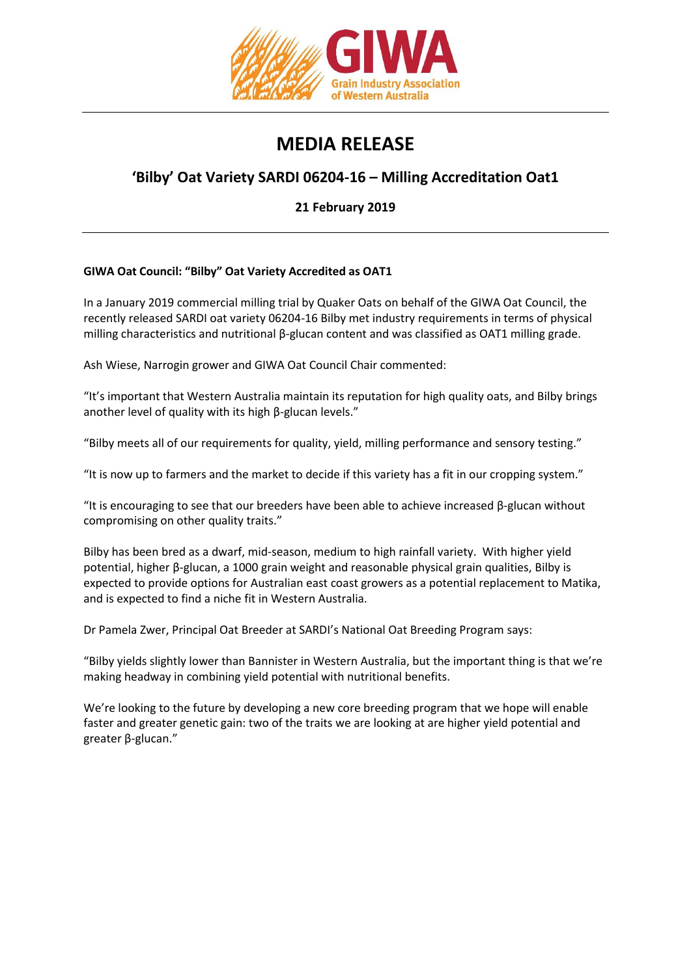

## **MEDIA RELEASE**

## **'Bilby' Oat Variety SARDI 06204-16 – Milling Accreditation Oat1**

**21 February 2019**

## **GIWA Oat Council: "Bilby" Oat Variety Accredited as OAT1**

In a January 2019 commercial milling trial by Quaker Oats on behalf of the GIWA Oat Council, the recently released SARDI oat variety 06204-16 Bilby met industry requirements in terms of physical milling characteristics and nutritional β-glucan content and was classified as OAT1 milling grade.

Ash Wiese, Narrogin grower and GIWA Oat Council Chair commented:

"It's important that Western Australia maintain its reputation for high quality oats, and Bilby brings another level of quality with its high β-glucan levels."

"Bilby meets all of our requirements for quality, yield, milling performance and sensory testing."

"It is now up to farmers and the market to decide if this variety has a fit in our cropping system."

"It is encouraging to see that our breeders have been able to achieve increased  $\beta$ -glucan without compromising on other quality traits."

Bilby has been bred as a dwarf, mid-season, medium to high rainfall variety. With higher yield potential, higher β-glucan, a 1000 grain weight and reasonable physical grain qualities, Bilby is expected to provide options for Australian east coast growers as a potential replacement to Matika, and is expected to find a niche fit in Western Australia.

Dr Pamela Zwer, Principal Oat Breeder at SARDI's National Oat Breeding Program says:

"Bilby yields slightly lower than Bannister in Western Australia, but the important thing is that we're making headway in combining yield potential with nutritional benefits.

We're looking to the future by developing a new core breeding program that we hope will enable faster and greater genetic gain: two of the traits we are looking at are higher yield potential and greater β-glucan."